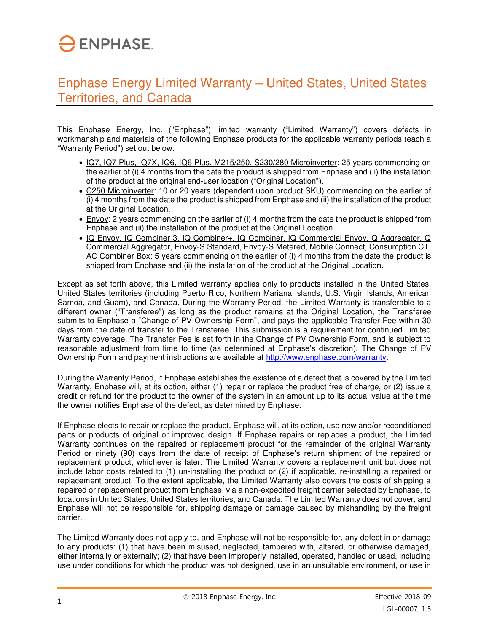## Enphase Energy Limited Warranty – United States, United States Territories, and Canada

This Enphase Energy, Inc. ("Enphase") limited warranty ("Limited Warranty") covers defects in workmanship and materials of the following Enphase products for the applicable warranty periods (each a "Warranty Period") set out below:

- IQ7, IQ7 Plus, IQ7X, IQ6, IQ6 Plus, M215/250, S230/280 Microinverter: 25 years commencing on the earlier of (i) 4 months from the date the product is shipped from Enphase and (ii) the installation of the product at the original end-user location ("Original Location").
- C250 Microinverter: 10 or 20 years (dependent upon product SKU) commencing on the earlier of (i) 4 months from the date the product is shipped from Enphase and (ii) the installation of the product at the Original Location.
- Envoy: 2 years commencing on the earlier of (i) 4 months from the date the product is shipped from Enphase and (ii) the installation of the product at the Original Location.
- IQ Envoy, IQ Combiner 3, IQ Combiner+, IQ Combiner, IQ Commercial Envoy, Q Aggregator, Q Commercial Aggregator, Envoy-S Standard, Envoy-S Metered, Mobile Connect, Consumption CT, AC Combiner Box: 5 years commencing on the earlier of (i) 4 months from the date the product is shipped from Enphase and (ii) the installation of the product at the Original Location.

Except as set forth above, this Limited warranty applies only to products installed in the United States, United States territories (including Puerto Rico, Northern Mariana Islands, U.S. Virgin Islands, American Samoa, and Guam), and Canada. During the Warranty Period, the Limited Warranty is transferable to a different owner ("Transferee") as long as the product remains at the Original Location, the Transferee submits to Enphase a "Change of PV Ownership Form", and pays the applicable Transfer Fee within 30 days from the date of transfer to the Transferee. This submission is a requirement for continued Limited Warranty coverage. The Transfer Fee is set forth in the Change of PV Ownership Form, and is subject to reasonable adjustment from time to time (as determined at Enphase's discretion). The Change of PV Ownership Form and payment instructions are available at http://www.enphase.com/warranty.

During the Warranty Period, if Enphase establishes the existence of a defect that is covered by the Limited Warranty, Enphase will, at its option, either (1) repair or replace the product free of charge, or (2) issue a credit or refund for the product to the owner of the system in an amount up to its actual value at the time the owner notifies Enphase of the defect, as determined by Enphase.

If Enphase elects to repair or replace the product, Enphase will, at its option, use new and/or reconditioned parts or products of original or improved design. If Enphase repairs or replaces a product, the Limited Warranty continues on the repaired or replacement product for the remainder of the original Warranty Period or ninety (90) days from the date of receipt of Enphase's return shipment of the repaired or replacement product, whichever is later. The Limited Warranty covers a replacement unit but does not include labor costs related to (1) un-installing the product or (2) if applicable, re-installing a repaired or replacement product. To the extent applicable, the Limited Warranty also covers the costs of shipping a repaired or replacement product from Enphase, via a non-expedited freight carrier selected by Enphase, to locations in United States, United States territories, and Canada. The Limited Warranty does not cover, and Enphase will not be responsible for, shipping damage or damage caused by mishandling by the freight carrier.

The Limited Warranty does not apply to, and Enphase will not be responsible for, any defect in or damage to any products: (1) that have been misused, neglected, tampered with, altered, or otherwise damaged, either internally or externally; (2) that have been improperly installed, operated, handled or used, including use under conditions for which the product was not designed, use in an unsuitable environment, or use in